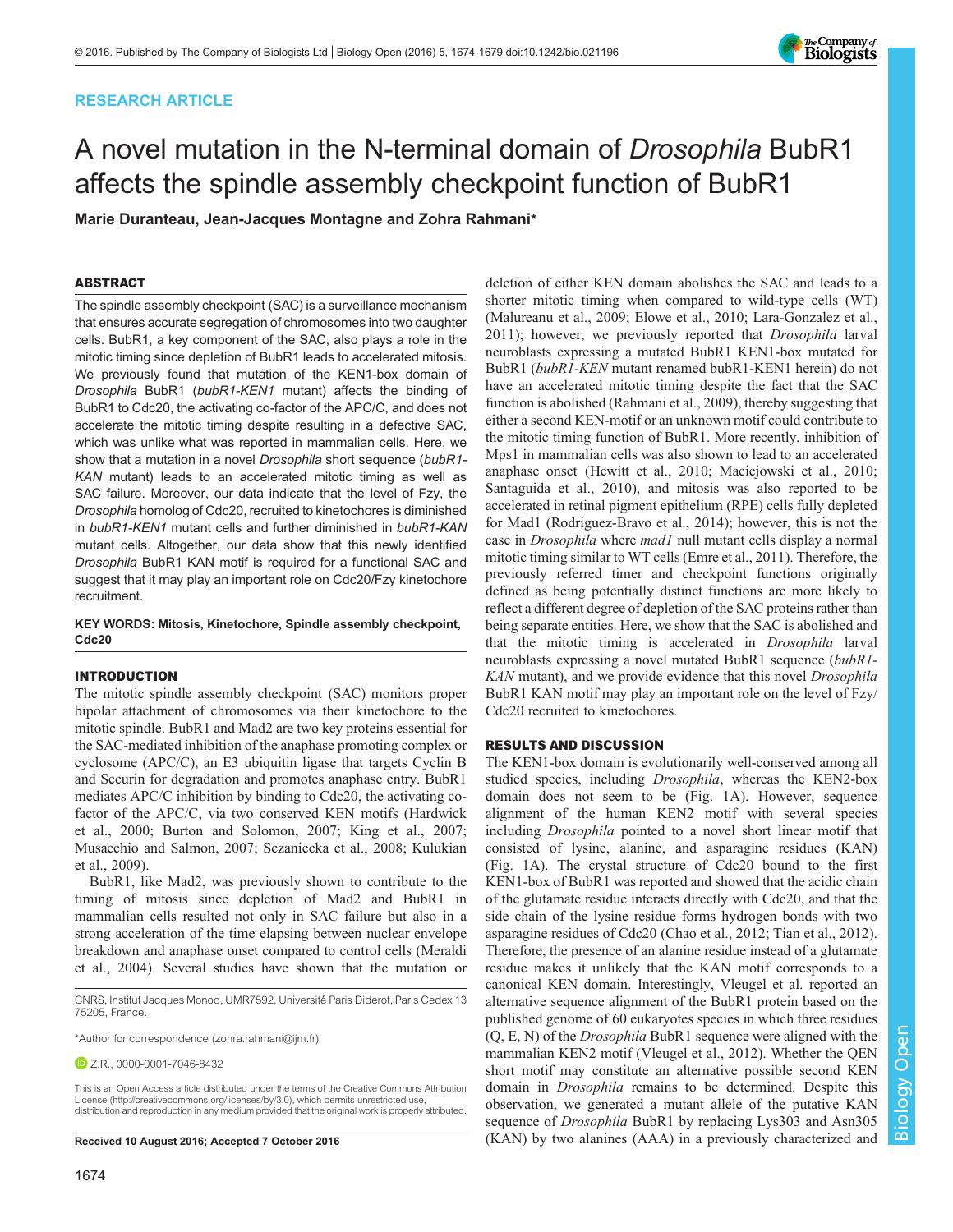# RESEARCH ARTICLE



# A novel mutation in the N-terminal domain of Drosophila BubR1 affects the spindle assembly checkpoint function of BubR1

Marie Duranteau, Jean-Jacques Montagne and Zohra Rahmani\*

## ABSTRACT

The spindle assembly checkpoint (SAC) is a surveillance mechanism that ensures accurate segregation of chromosomes into two daughter cells. BubR1, a key component of the SAC, also plays a role in the mitotic timing since depletion of BubR1 leads to accelerated mitosis. We previously found that mutation of the KEN1-box domain of Drosophila BubR1 (bubR1-KEN1 mutant) affects the binding of BubR1 to Cdc20, the activating co-factor of the APC/C, and does not accelerate the mitotic timing despite resulting in a defective SAC, which was unlike what was reported in mammalian cells. Here, we show that a mutation in a novel Drosophila short sequence (bubR1- KAN mutant) leads to an accelerated mitotic timing as well as SAC failure. Moreover, our data indicate that the level of Fzy, the Drosophila homolog of Cdc20, recruited to kinetochores is diminished in bubR1-KEN1 mutant cells and further diminished in bubR1-KAN mutant cells. Altogether, our data show that this newly identified Drosophila BubR1 KAN motif is required for a functional SAC and suggest that it may play an important role on Cdc20/Fzy kinetochore recruitment.

## KEY WORDS: Mitosis, Kinetochore, Spindle assembly checkpoint, Cdc20

## INTRODUCTION

The mitotic spindle assembly checkpoint (SAC) monitors proper bipolar attachment of chromosomes via their kinetochore to the mitotic spindle. BubR1 and Mad2 are two key proteins essential for the SAC-mediated inhibition of the anaphase promoting complex or cyclosome (APC/C), an E3 ubiquitin ligase that targets Cyclin B and Securin for degradation and promotes anaphase entry. BubR1 mediates APC/C inhibition by binding to Cdc20, the activating cofactor of the APC/C, via two conserved KEN motifs ([Hardwick](#page-5-0) [et al., 2000](#page-5-0); [Burton and Solomon, 2007; King et al., 2007](#page-5-0); [Musacchio and Salmon, 2007](#page-5-0); [Sczaniecka et al., 2008; Kulukian](#page-5-0) [et al., 2009\)](#page-5-0).

BubR1, like Mad2, was previously shown to contribute to the timing of mitosis since depletion of Mad2 and BubR1 in mammalian cells resulted not only in SAC failure but also in a strong acceleration of the time elapsing between nuclear envelope breakdown and anaphase onset compared to control cells [\(Meraldi](#page-5-0) [et al., 2004\)](#page-5-0). Several studies have shown that the mutation or

This is an Open Access article distributed under the terms of the Creative Commons Attribution License [\(http://creativecommons.org/licenses/by/3.0\)](http://creativecommons.org/licenses/by/3.0), which permits unrestricted use, distribution and reproduction in any medium provided that the original work is properly attributed.

deletion of either KEN domain abolishes the SAC and leads to a shorter mitotic timing when compared to wild-type cells (WT) [\(Malureanu et al., 2009](#page-5-0); [Elowe et al., 2010](#page-5-0); [Lara-Gonzalez et al.,](#page-5-0) [2011\)](#page-5-0); however, we previously reported that Drosophila larval neuroblasts expressing a mutated BubR1 KEN1-box mutated for BubR1 (bubR1-KEN mutant renamed bubR1-KEN1 herein) do not have an accelerated mitotic timing despite the fact that the SAC function is abolished [\(Rahmani et al., 2009](#page-5-0)), thereby suggesting that either a second KEN-motif or an unknown motif could contribute to the mitotic timing function of BubR1. More recently, inhibition of Mps1 in mammalian cells was also shown to lead to an accelerated anaphase onset [\(Hewitt et al., 2010](#page-5-0); [Maciejowski et al., 2010](#page-5-0); [Santaguida et al., 2010](#page-5-0)), and mitosis was also reported to be accelerated in retinal pigment epithelium (RPE) cells fully depleted for Mad1 [\(Rodriguez-Bravo et al., 2014](#page-5-0)); however, this is not the case in *Drosophila* where *mad1* null mutant cells display a normal mitotic timing similar to WT cells ([Emre et al., 2011\)](#page-5-0). Therefore, the previously referred timer and checkpoint functions originally defined as being potentially distinct functions are more likely to reflect a different degree of depletion of the SAC proteins rather than being separate entities. Here, we show that the SAC is abolished and that the mitotic timing is accelerated in Drosophila larval neuroblasts expressing a novel mutated BubR1 sequence (bubR1- KAN mutant), and we provide evidence that this novel *Drosophila* BubR1 KAN motif may play an important role on the level of Fzy/ Cdc20 recruited to kinetochores.

## RESULTS AND DISCUSSION

The KEN1-box domain is evolutionarily well-conserved among all studied species, including Drosophila, whereas the KEN2-box domain does not seem to be ([Fig. 1](#page-1-0)A). However, sequence alignment of the human KEN2 motif with several species including Drosophila pointed to a novel short linear motif that consisted of lysine, alanine, and asparagine residues (KAN) [\(Fig. 1](#page-1-0)A). The crystal structure of Cdc20 bound to the first KEN1-box of BubR1 was reported and showed that the acidic chain of the glutamate residue interacts directly with Cdc20, and that the side chain of the lysine residue forms hydrogen bonds with two asparagine residues of Cdc20 ([Chao et al., 2012](#page-5-0); [Tian et al., 2012\)](#page-5-0). Therefore, the presence of an alanine residue instead of a glutamate residue makes it unlikely that the KAN motif corresponds to a canonical KEN domain. Interestingly, Vleugel et al. reported an alternative sequence alignment of the BubR1 protein based on the published genome of 60 eukaryotes species in which three residues (Q, E, N) of the Drosophila BubR1 sequence were aligned with the mammalian KEN2 motif ([Vleugel et al., 2012](#page-5-0)). Whether the QEN short motif may constitute an alternative possible second KEN domain in Drosophila remains to be determined. Despite this observation, we generated a mutant allele of the putative KAN sequence of Drosophila BubR1 by replacing Lys303 and Asn305 Received 10 August 2016; Accepted 7 October 2016 (KAN) by two alanines (AAA) in a previously characterized and

CNRS, Institut Jacques Monod, UMR7592, Université Paris Diderot, Paris Cedex 13 75205, France.

<sup>\*</sup>Author for correspondence [\(zohra.rahmani@ijm.fr\)](mailto:zohra.rahmani@ijm.fr)

**D** Z.R., [0000-0001-7046-8432](http://orcid.org/0000-0001-7046-8432)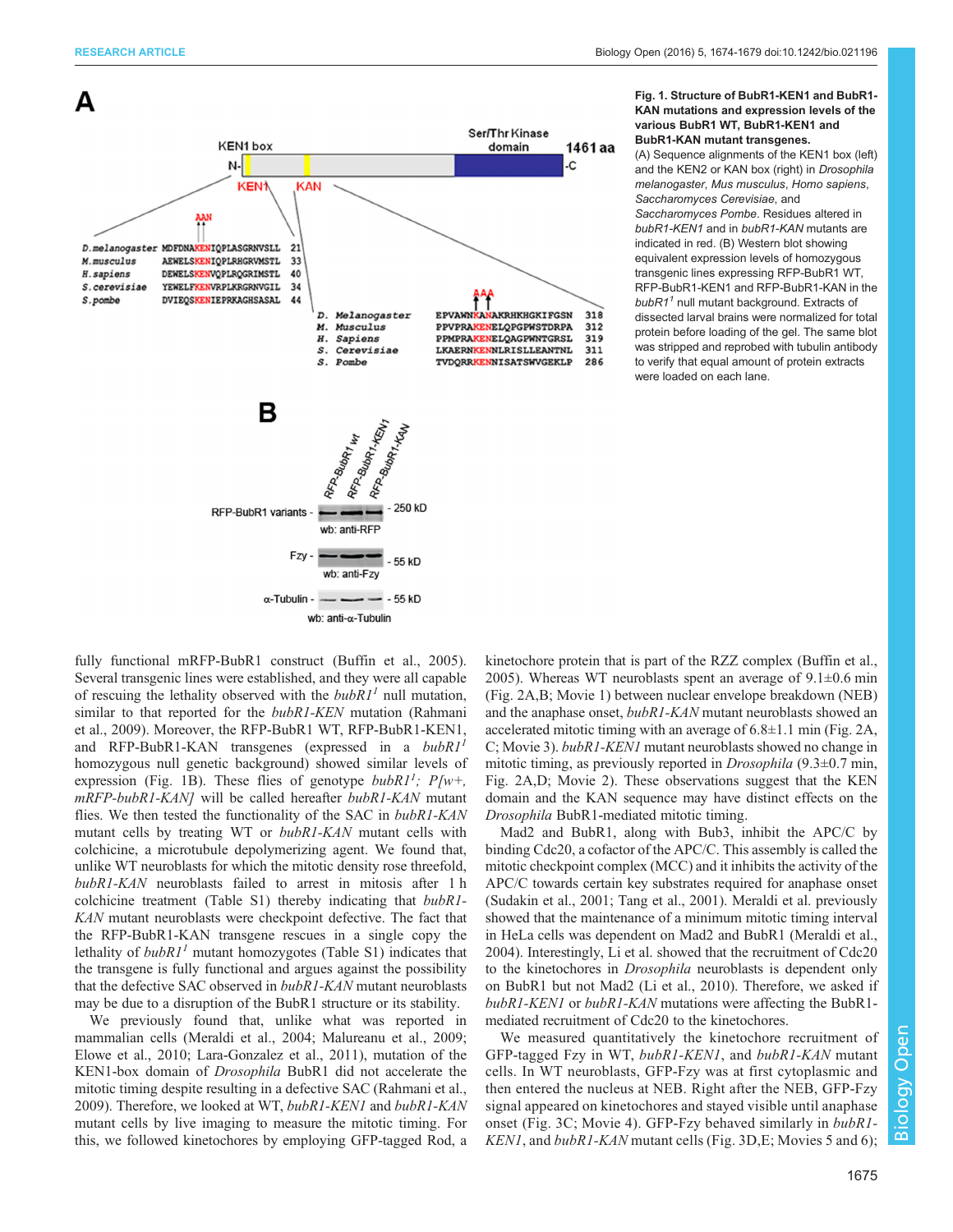<span id="page-1-0"></span>

 $\alpha$ -Tubulin -  $\longrightarrow$  - 55 kD wb: anti- $\alpha$ -Tubulin

## Fig. 1. Structure of BubR1-KEN1 and BubR1- KAN mutations and expression levels of the various BubR1 WT, BubR1-KEN1 and BubR1-KAN mutant transgenes.

(A) Sequence alignments of the KEN1 box (left) and the KEN2 or KAN box (right) in Drosophila melanogaster, Mus musculus, Homo sapiens, Saccharomyces Cerevisiae, and

Saccharomyces Pombe. Residues altered in bubR1-KEN1 and in bubR1-KAN mutants are indicated in red. (B) Western blot showing equivalent expression levels of homozygous transgenic lines expressing RFP-BubR1 WT, RFP-BubR1-KEN1 and RFP-BubR1-KAN in the  $bubR1<sup>1</sup>$  null mutant background. Extracts of dissected larval brains were normalized for total protein before loading of the gel. The same blot was stripped and reprobed with tubulin antibody to verify that equal amount of protein extracts were loaded on each lane.

fully functional mRFP-BubR1 construct ([Buffin et al., 2005\)](#page-5-0). Several transgenic lines were established, and they were all capable of rescuing the lethality observed with the  $bubRI<sup>1</sup>$  null mutation, similar to that reported for the *bubR1-KEN* mutation ([Rahmani](#page-5-0) [et al., 2009\)](#page-5-0). Moreover, the RFP-BubR1 WT, RFP-BubR1-KEN1, and RFP-BubR1-KAN transgenes (expressed in a  $bubRI<sup>1</sup>$ homozygous null genetic background) showed similar levels of expression (Fig. 1B). These flies of genotype  $bubRI^1$ ;  $P[w+,$ mRFP-bubR1-KAN] will be called hereafter bubR1-KAN mutant flies. We then tested the functionality of the SAC in bubR1-KAN mutant cells by treating WT or *bubR1-KAN* mutant cells with colchicine, a microtubule depolymerizing agent. We found that, unlike WT neuroblasts for which the mitotic density rose threefold, bubR1-KAN neuroblasts failed to arrest in mitosis after 1 h colchicine treatment ([Table S1\)](http://bio.biologists.org/lookup/doi/10.1242/bio.021196.supplemental) thereby indicating that bubR1- KAN mutant neuroblasts were checkpoint defective. The fact that the RFP-BubR1-KAN transgene rescues in a single copy the lethality of  $bubRI<sup>1</sup>$  mutant homozygotes ([Table S1\)](http://bio.biologists.org/lookup/doi/10.1242/bio.021196.supplemental) indicates that the transgene is fully functional and argues against the possibility that the defective SAC observed in bubR1-KAN mutant neuroblasts may be due to a disruption of the BubR1 structure or its stability.

We previously found that, unlike what was reported in mammalian cells ([Meraldi et al., 2004](#page-5-0); [Malureanu et al., 2009](#page-5-0); [Elowe et al., 2010](#page-5-0); [Lara-Gonzalez et al., 2011\)](#page-5-0), mutation of the KEN1-box domain of Drosophila BubR1 did not accelerate the mitotic timing despite resulting in a defective SAC [\(Rahmani et al.,](#page-5-0) [2009](#page-5-0)). Therefore, we looked at WT, bubR1-KEN1 and bubR1-KAN mutant cells by live imaging to measure the mitotic timing. For this, we followed kinetochores by employing GFP-tagged Rod, a kinetochore protein that is part of the RZZ complex ([Buffin et al.,](#page-5-0) [2005\)](#page-5-0). Whereas WT neuroblasts spent an average of  $9.1\pm0.6$  min [\(Fig. 2](#page-2-0)A,B; [Movie 1](http://movie.biologists.com/video/10.1242/bio.021196/video-1)) between nuclear envelope breakdown (NEB) and the anaphase onset, bubR1-KAN mutant neuroblasts showed an accelerated mitotic timing with an average of  $6.8 \pm 1.1$  min ([Fig. 2A](#page-2-0), C; [Movie 3\)](http://movie.biologists.com/video/10.1242/bio.021196/video-3). bubR1-KEN1 mutant neuroblasts showed no change in mitotic timing, as previously reported in Drosophila (9.3±0.7 min, [Fig. 2A](#page-2-0),D; [Movie 2\)](http://movie.biologists.com/video/10.1242/bio.021196/video-2). These observations suggest that the KEN domain and the KAN sequence may have distinct effects on the Drosophila BubR1-mediated mitotic timing.

Mad2 and BubR1, along with Bub3, inhibit the APC/C by binding Cdc20, a cofactor of the APC/C. This assembly is called the mitotic checkpoint complex (MCC) and it inhibits the activity of the APC/C towards certain key substrates required for anaphase onset [\(Sudakin et al., 2001; Tang et al., 2001](#page-5-0)). Meraldi et al. previously showed that the maintenance of a minimum mitotic timing interval in HeLa cells was dependent on Mad2 and BubR1 ([Meraldi et al.,](#page-5-0) [2004\)](#page-5-0). Interestingly, Li et al. showed that the recruitment of Cdc20 to the kinetochores in Drosophila neuroblasts is dependent only on BubR1 but not Mad2 ([Li et al., 2010](#page-5-0)). Therefore, we asked if bubR1-KEN1 or bubR1-KAN mutations were affecting the BubR1 mediated recruitment of Cdc20 to the kinetochores.

We measured quantitatively the kinetochore recruitment of GFP-tagged Fzy in WT, bubR1-KEN1, and bubR1-KAN mutant cells. In WT neuroblasts, GFP-Fzy was at first cytoplasmic and then entered the nucleus at NEB. Right after the NEB, GFP-Fzy signal appeared on kinetochores and stayed visible until anaphase onset ([Fig. 3](#page-2-0)C; [Movie 4\)](http://movie.biologists.com/video/10.1242/bio.021196/video-4). GFP-Fzy behaved similarly in bubR1- KEN1, and bubR1-KAN mutant cells [\(Fig. 3D](#page-2-0), E; [Movies 5](http://movie.biologists.com/video/10.1242/bio.021196/video-5) and [6](http://movie.biologists.com/video/10.1242/bio.021196/video-6));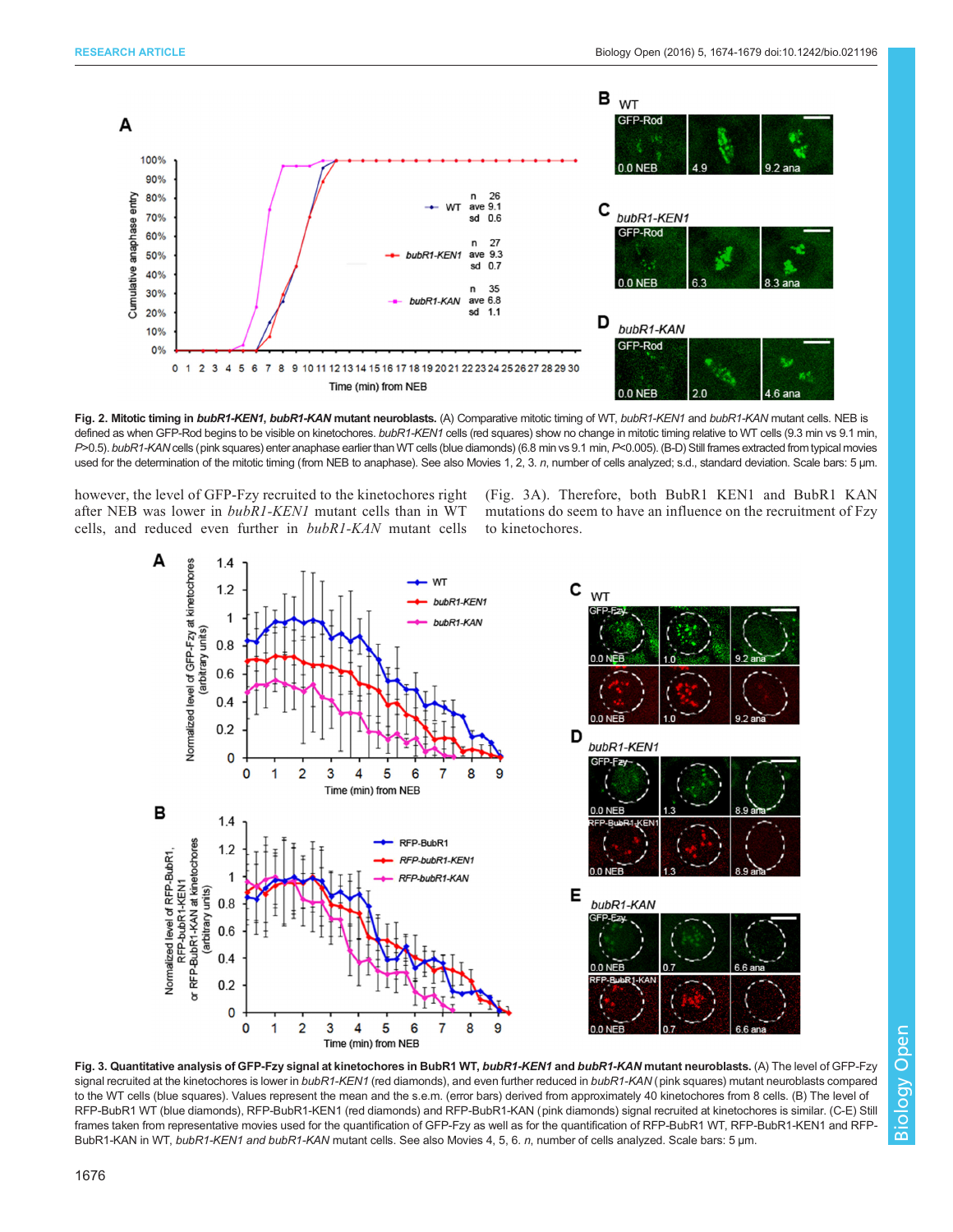<span id="page-2-0"></span>

Fig. 2. Mitotic timing in bubR1-KEN1, bubR1-KAN mutant neuroblasts. (A) Comparative mitotic timing of WT, bubR1-KEN1 and bubR1-KAN mutant cells. NEB is defined as when GFP-Rod begins to be visible on kinetochores. bubR1-KEN1 cells (red squares) show no change in mitotic timing relative to WT cells (9.3 min vs 9.1 min, P>0.5). bubR1-KAN cells (pink squares) enter anaphase earlier than WT cells (blue diamonds) (6.8 min vs 9.1 min, P<0.005). (B-D) Still frames extracted from typical movies used for the determination of the mitotic timing (from NEB to anaphase). See also Movies [1,](http://movie.biologists.com/video/10.1242/bio.021196/video-1) [2](http://movie.biologists.com/video/10.1242/bio.021196/video-2), [3](http://movie.biologists.com/video/10.1242/bio.021196/video-3). n, number of cells analyzed; s.d., standard deviation. Scale bars: 5 µm.

however, the level of GFP-Fzy recruited to the kinetochores right after NEB was lower in bubR1-KEN1 mutant cells than in WT cells, and reduced even further in bubR1-KAN mutant cells

(Fig. 3A). Therefore, both BubR1 KEN1 and BubR1 KAN mutations do seem to have an influence on the recruitment of Fzy to kinetochores.



Fig. 3. Quantitative analysis of GFP-Fzy signal at kinetochores in BubR1 WT, bubR1-KEN1 and bubR1-KAN mutant neuroblasts. (A) The level of GFP-Fzy signal recruited at the kinetochores is lower in bubR1-KEN1 (red diamonds), and even further reduced in bubR1-KAN (pink squares) mutant neuroblasts compared to the WT cells (blue squares). Values represent the mean and the s.e.m. (error bars) derived from approximately 40 kinetochores from 8 cells. (B) The level of RFP-BubR1 WT (blue diamonds), RFP-BubR1-KEN1 (red diamonds) and RFP-BubR1-KAN (pink diamonds) signal recruited at kinetochores is similar. (C-E) Still frames taken from representative movies used for the quantification of GFP-Fzy as well as for the quantification of RFP-BubR1 WT, RFP-BubR1-KEN1 and RFP-BubR1-KAN in WT, bubR1-KEN1 and bubR1-KAN mutant cells. See also Movies [4,](http://movie.biologists.com/video/10.1242/bio.021196/video-4) [5,](http://movie.biologists.com/video/10.1242/bio.021196/video-5) [6.](http://movie.biologists.com/video/10.1242/bio.021196/video-6) n, number of cells analyzed. Scale bars: 5 um.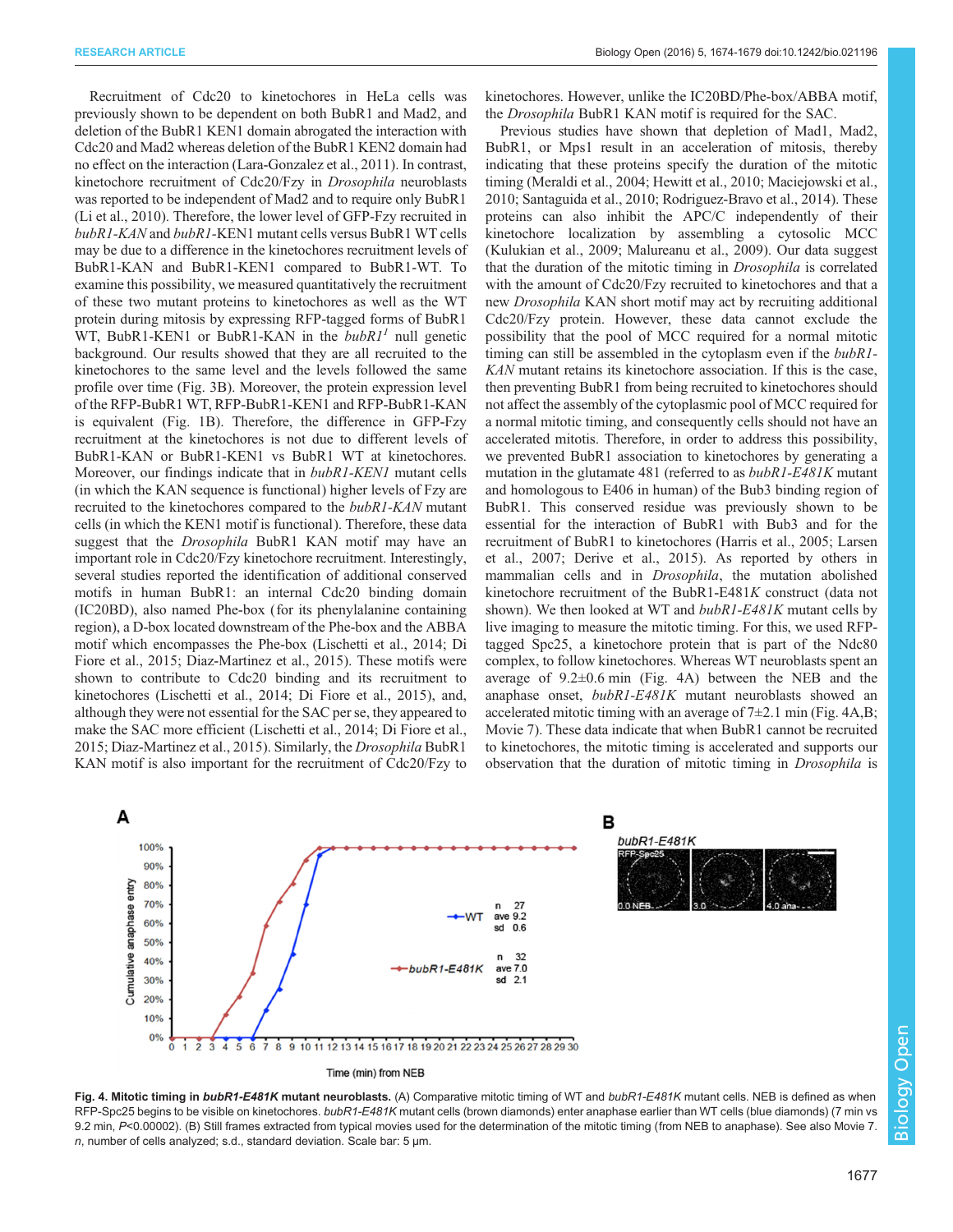Recruitment of Cdc20 to kinetochores in HeLa cells was previously shown to be dependent on both BubR1 and Mad2, and deletion of the BubR1 KEN1 domain abrogated the interaction with Cdc20 and Mad2 whereas deletion of the BubR1 KEN2 domain had no effect on the interaction [\(Lara-Gonzalez et al., 2011](#page-5-0)). In contrast, kinetochore recruitment of Cdc20/Fzy in Drosophila neuroblasts was reported to be independent of Mad2 and to require only BubR1 [\(Li et al., 2010\)](#page-5-0). Therefore, the lower level of GFP-Fzy recruited in bubR1-KAN and bubR1-KEN1 mutant cells versus BubR1 WT cells may be due to a difference in the kinetochores recruitment levels of BubR1-KAN and BubR1-KEN1 compared to BubR1-WT. To examine this possibility, we measured quantitatively the recruitment of these two mutant proteins to kinetochores as well as the WT protein during mitosis by expressing RFP-tagged forms of BubR1 WT, BubR1-KEN1 or BubR1-KAN in the  $bubRI<sup>1</sup>$  null genetic background. Our results showed that they are all recruited to the kinetochores to the same level and the levels followed the same profile over time [\(Fig. 3B](#page-2-0)). Moreover, the protein expression level of the RFP-BubR1 WT, RFP-BubR1-KEN1 and RFP-BubR1-KAN is equivalent [\(Fig. 1](#page-1-0)B). Therefore, the difference in GFP-Fzy recruitment at the kinetochores is not due to different levels of BubR1-KAN or BubR1-KEN1 vs BubR1 WT at kinetochores. Moreover, our findings indicate that in bubR1-KEN1 mutant cells (in which the KAN sequence is functional) higher levels of Fzy are recruited to the kinetochores compared to the *bubR1-KAN* mutant cells (in which the KEN1 motif is functional). Therefore, these data suggest that the *Drosophila* BubR1 KAN motif may have an important role in Cdc20/Fzy kinetochore recruitment. Interestingly, several studies reported the identification of additional conserved motifs in human BubR1: an internal Cdc20 binding domain (IC20BD), also named Phe-box (for its phenylalanine containing region), a D-box located downstream of the Phe-box and the ABBA motif which encompasses the Phe-box ([Lischetti et al., 2014; Di](#page-5-0) [Fiore et al., 2015](#page-5-0); [Diaz-Martinez et al., 2015\)](#page-5-0). These motifs were shown to contribute to Cdc20 binding and its recruitment to kinetochores [\(Lischetti et al., 2014](#page-5-0); [Di Fiore et al., 2015](#page-5-0)), and, although they were not essential for the SAC per se, they appeared to make the SAC more efficient [\(Lischetti et al., 2014; Di Fiore et al.,](#page-5-0) [2015](#page-5-0); [Diaz-Martinez et al., 2015\)](#page-5-0). Similarly, the Drosophila BubR1 KAN motif is also important for the recruitment of Cdc20/Fzy to

kinetochores. However, unlike the IC20BD/Phe-box/ABBA motif, the Drosophila BubR1 KAN motif is required for the SAC.

Previous studies have shown that depletion of Mad1, Mad2, BubR1, or Mps1 result in an acceleration of mitosis, thereby indicating that these proteins specify the duration of the mitotic timing ([Meraldi et al., 2004; Hewitt et al., 2010; Maciejowski et al.,](#page-5-0) [2010; Santaguida et al., 2010](#page-5-0); [Rodriguez-Bravo et al., 2014\)](#page-5-0). These proteins can also inhibit the APC/C independently of their kinetochore localization by assembling a cytosolic MCC [\(Kulukian et al., 2009](#page-5-0); [Malureanu et al., 2009\)](#page-5-0). Our data suggest that the duration of the mitotic timing in Drosophila is correlated with the amount of Cdc20/Fzy recruited to kinetochores and that a new Drosophila KAN short motif may act by recruiting additional Cdc20/Fzy protein. However, these data cannot exclude the possibility that the pool of MCC required for a normal mitotic timing can still be assembled in the cytoplasm even if the bubR1- KAN mutant retains its kinetochore association. If this is the case, then preventing BubR1 from being recruited to kinetochores should not affect the assembly of the cytoplasmic pool of MCC required for a normal mitotic timing, and consequently cells should not have an accelerated mitotis. Therefore, in order to address this possibility, we prevented BubR1 association to kinetochores by generating a mutation in the glutamate 481 (referred to as bubR1-E481K mutant and homologous to E406 in human) of the Bub3 binding region of BubR1. This conserved residue was previously shown to be essential for the interaction of BubR1 with Bub3 and for the recruitment of BubR1 to kinetochores [\(Harris et al., 2005; Larsen](#page-5-0) [et al., 2007; Derive et al., 2015\)](#page-5-0). As reported by others in mammalian cells and in Drosophila, the mutation abolished kinetochore recruitment of the BubR1-E481K construct (data not shown). We then looked at WT and *bubR1-E481K* mutant cells by live imaging to measure the mitotic timing. For this, we used RFPtagged Spc25, a kinetochore protein that is part of the Ndc80 complex, to follow kinetochores. Whereas WT neuroblasts spent an average of 9.2±0.6 min (Fig. 4A) between the NEB and the anaphase onset, bubR1-E481K mutant neuroblasts showed an accelerated mitotic timing with an average of  $7\pm2.1$  min (Fig. 4A,B; [Movie 7](http://movie.biologists.com/video/10.1242/bio.021196/video-7)). These data indicate that when BubR1 cannot be recruited to kinetochores, the mitotic timing is accelerated and supports our observation that the duration of mitotic timing in Drosophila is



Fig. 4. Mitotic timing in bubR1-E481K mutant neuroblasts. (A) Comparative mitotic timing of WT and bubR1-E481K mutant cells. NEB is defined as when RFP-Spc25 begins to be visible on kinetochores. bubR1-E481K mutant cells (brown diamonds) enter anaphase earlier than WT cells (blue diamonds) (7 min vs 9.2 min, P<0.00002). (B) Still frames extracted from typical movies used for the determination of the mitotic timing (from NEB to anaphase). See also [Movie 7.](http://movie.biologists.com/video/10.1242/bio.021196/video-7) n, number of cells analyzed; s.d., standard deviation. Scale bar: 5 µm.

Biology Open

**Biology** 

Open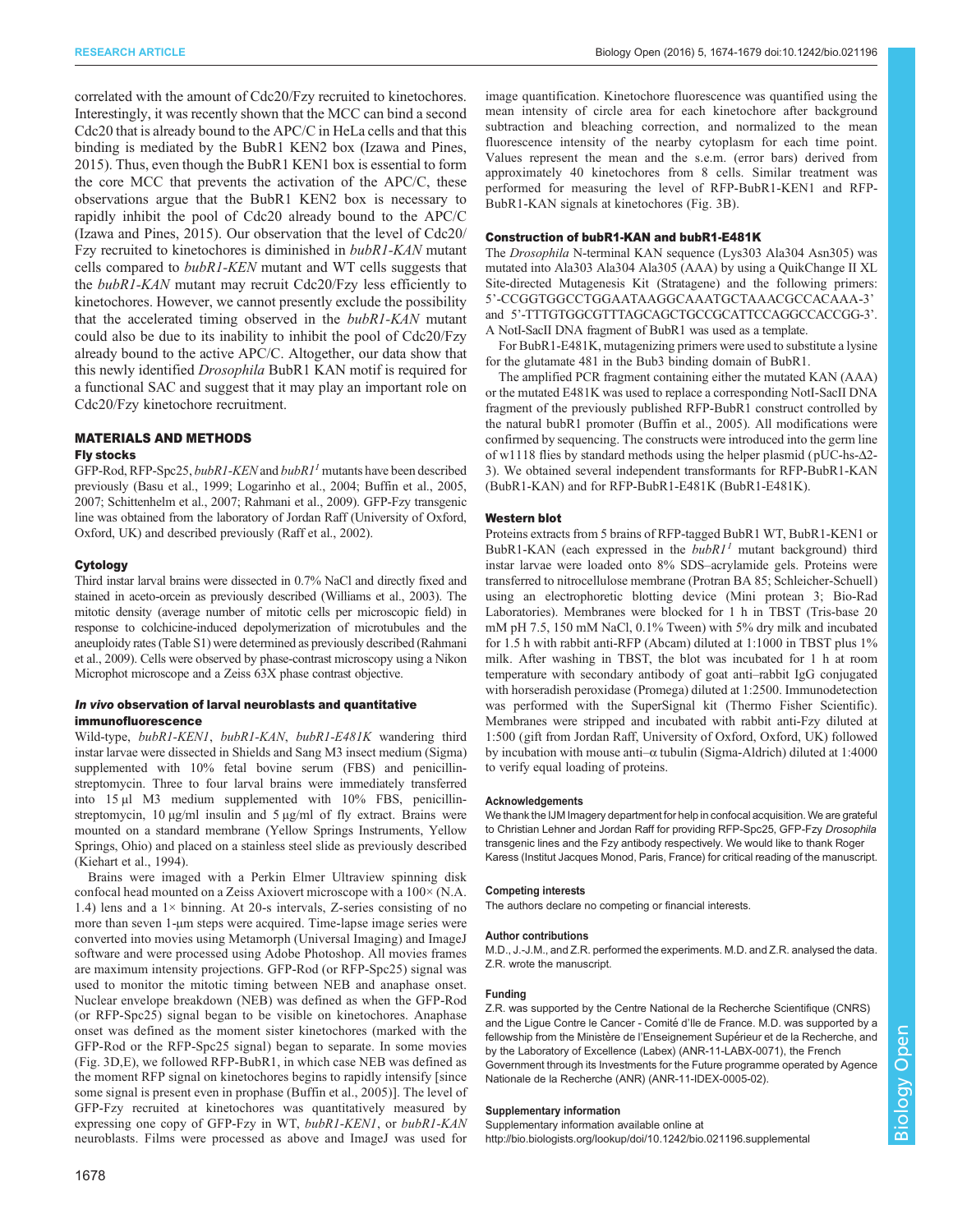RESEARCH ARTICLE Biology Open (2016) 5, 1674-1679 doi:10.1242/bio.021196

correlated with the amount of Cdc20/Fzy recruited to kinetochores. Interestingly, it was recently shown that the MCC can bind a second Cdc20 that is already bound to the APC/C in HeLa cells and that this binding is mediated by the BubR1 KEN2 box ([Izawa and Pines,](#page-5-0) [2015](#page-5-0)). Thus, even though the BubR1 KEN1 box is essential to form the core MCC that prevents the activation of the APC/C, these observations argue that the BubR1 KEN2 box is necessary to rapidly inhibit the pool of Cdc20 already bound to the APC/C [\(Izawa and Pines, 2015](#page-5-0)). Our observation that the level of Cdc20/ Fzy recruited to kinetochores is diminished in bubR1-KAN mutant cells compared to bubR1-KEN mutant and WT cells suggests that the bubR1-KAN mutant may recruit Cdc20/Fzy less efficiently to kinetochores. However, we cannot presently exclude the possibility that the accelerated timing observed in the bubR1-KAN mutant could also be due to its inability to inhibit the pool of Cdc20/Fzy already bound to the active APC/C. Altogether, our data show that this newly identified Drosophila BubR1 KAN motif is required for a functional SAC and suggest that it may play an important role on Cdc20/Fzy kinetochore recruitment.

# MATERIALS AND METHODS

#### Fly stocks

GFP-Rod, RFP-Spc25, bubR1-KEN and bubR1<sup>1</sup> mutants have been described previously [\(Basu et al., 1999](#page-5-0); [Logarinho et al., 2004; Buffin et al., 2005,](#page-5-0) [2007; Schittenhelm et al., 2007](#page-5-0); [Rahmani et al., 2009\)](#page-5-0). GFP-Fzy transgenic line was obtained from the laboratory of Jordan Raff (University of Oxford, Oxford, UK) and described previously [\(Raff et al., 2002](#page-5-0)).

## Cytology

Third instar larval brains were dissected in 0.7% NaCl and directly fixed and stained in aceto-orcein as previously described [\(Williams et al., 2003](#page-5-0)). The mitotic density (average number of mitotic cells per microscopic field) in response to colchicine-induced depolymerization of microtubules and the aneuploidy rates [\(Table S1\)](http://bio.biologists.org/lookup/doi/10.1242/bio.021196.supplemental) were determined as previously described [\(Rahmani](#page-5-0) [et al., 2009\)](#page-5-0). Cells were observed by phase-contrast microscopy using a Nikon Microphot microscope and a Zeiss 63X phase contrast objective.

## In vivo observation of larval neuroblasts and quantitative immunofluorescence

Wild-type, bubR1-KEN1, bubR1-KAN, bubR1-E481K wandering third instar larvae were dissected in Shields and Sang M3 insect medium (Sigma) supplemented with  $10\%$  fetal bovine serum (FBS) and penicillinstreptomycin. Three to four larval brains were immediately transferred into 15 µl M3 medium supplemented with 10% FBS, penicillinstreptomycin,  $10 \mu g/ml$  insulin and  $5 \mu g/ml$  of fly extract. Brains were mounted on a standard membrane (Yellow Springs Instruments, Yellow Springs, Ohio) and placed on a stainless steel slide as previously described ([Kiehart et al., 1994](#page-5-0)).

Brains were imaged with a Perkin Elmer Ultraview spinning disk confocal head mounted on a Zeiss Axiovert microscope with a 100× (N.A. 1.4) lens and a  $1 \times$  binning. At 20-s intervals, Z-series consisting of no more than seven 1-µm steps were acquired. Time-lapse image series were converted into movies using Metamorph (Universal Imaging) and ImageJ software and were processed using Adobe Photoshop. All movies frames are maximum intensity projections. GFP-Rod (or RFP-Spc25) signal was used to monitor the mitotic timing between NEB and anaphase onset. Nuclear envelope breakdown (NEB) was defined as when the GFP-Rod (or RFP-Spc25) signal began to be visible on kinetochores. Anaphase onset was defined as the moment sister kinetochores (marked with the GFP-Rod or the RFP-Spc25 signal) began to separate. In some movies ([Fig. 3D](#page-2-0),E), we followed RFP-BubR1, in which case NEB was defined as the moment RFP signal on kinetochores begins to rapidly intensify [since some signal is present even in prophase [\(Buffin et al., 2005](#page-5-0))]. The level of GFP-Fzy recruited at kinetochores was quantitatively measured by expressing one copy of GFP-Fzy in WT, bubR1-KEN1, or bubR1-KAN neuroblasts. Films were processed as above and ImageJ was used for

image quantification. Kinetochore fluorescence was quantified using the mean intensity of circle area for each kinetochore after background subtraction and bleaching correction, and normalized to the mean fluorescence intensity of the nearby cytoplasm for each time point. Values represent the mean and the s.e.m. (error bars) derived from approximately 40 kinetochores from 8 cells. Similar treatment was performed for measuring the level of RFP-BubR1-KEN1 and RFP-BubR1-KAN signals at kinetochores [\(Fig. 3](#page-2-0)B).

## Construction of bubR1-KAN and bubR1-E481K

The Drosophila N-terminal KAN sequence (Lys303 Ala304 Asn305) was mutated into Ala303 Ala304 Ala305 (AAA) by using a QuikChange II XL Site-directed Mutagenesis Kit (Stratagene) and the following primers: 5'-CCGGTGGCCTGGAATAAGGCAAATGCTAAACGCCACAAA-3' and 5'-TTTGTGGCGTTTAGCAGCTGCCGCATTCCAGGCCACCGG-3'. A NotI-SacII DNA fragment of BubR1 was used as a template.

For BubR1-E481K, mutagenizing primers were used to substitute a lysine for the glutamate 481 in the Bub3 binding domain of BubR1.

The amplified PCR fragment containing either the mutated KAN (AAA) or the mutated E481K was used to replace a corresponding NotI-SacII DNA fragment of the previously published RFP-BubR1 construct controlled by the natural bubR1 promoter [\(Buffin et al., 2005](#page-5-0)). All modifications were confirmed by sequencing. The constructs were introduced into the germ line of w1118 flies by standard methods using the helper plasmid ( pUC-hs-Δ2- 3). We obtained several independent transformants for RFP-BubR1-KAN (BubR1-KAN) and for RFP-BubR1-E481K (BubR1-E481K).

## Western blot

Proteins extracts from 5 brains of RFP-tagged BubR1 WT, BubR1-KEN1 or BubR1-KAN (each expressed in the  $bubR1<sup>1</sup>$  mutant background) third instar larvae were loaded onto 8% SDS–acrylamide gels. Proteins were transferred to nitrocellulose membrane (Protran BA 85; Schleicher-Schuell) using an electrophoretic blotting device (Mini protean 3; Bio-Rad Laboratories). Membranes were blocked for 1 h in TBST (Tris-base 20 mM pH 7.5, 150 mM NaCl, 0.1% Tween) with 5% dry milk and incubated for 1.5 h with rabbit anti-RFP (Abcam) diluted at 1:1000 in TBST plus 1% milk. After washing in TBST, the blot was incubated for 1 h at room temperature with secondary antibody of goat anti–rabbit IgG conjugated with horseradish peroxidase (Promega) diluted at 1:2500. Immunodetection was performed with the SuperSignal kit (Thermo Fisher Scientific). Membranes were stripped and incubated with rabbit anti-Fzy diluted at 1:500 (gift from Jordan Raff, University of Oxford, Oxford, UK) followed by incubation with mouse anti–α tubulin (Sigma-Aldrich) diluted at 1:4000 to verify equal loading of proteins.

#### Acknowledgements

We thank the IJM Imagery department for help in confocal acquisition. We are grateful to Christian Lehner and Jordan Raff for providing RFP-Spc25, GFP-Fzy Drosophila transgenic lines and the Fzy antibody respectively. We would like to thank Roger Karess (Institut Jacques Monod, Paris, France) for critical reading of the manuscript.

## Competing interests

The authors declare no competing or financial interests.

#### Author contributions

M.D., J.-J.M., and Z.R. performed the experiments. M.D. and Z.R. analysed the data. Z.R. wrote the manuscript.

### Funding

Z.R. was supported by the Centre National de la Recherche Scientifique (CNRS) and the Ligue Contre le Cancer - Comitéd'Ile de France. M.D. was supported by a fellowship from the Ministère de l'Enseignement Supérieur et de la Recherche, and by the Laboratory of Excellence (Labex) (ANR-11-LABX-0071), the French Government through its Investments for the Future programme operated by Agence Nationale de la Recherche (ANR) (ANR-11-IDEX-0005-02).

#### Supplementary information

Supplementary information available online at <http://bio.biologists.org/lookup/doi/10.1242/bio.021196.supplemental>